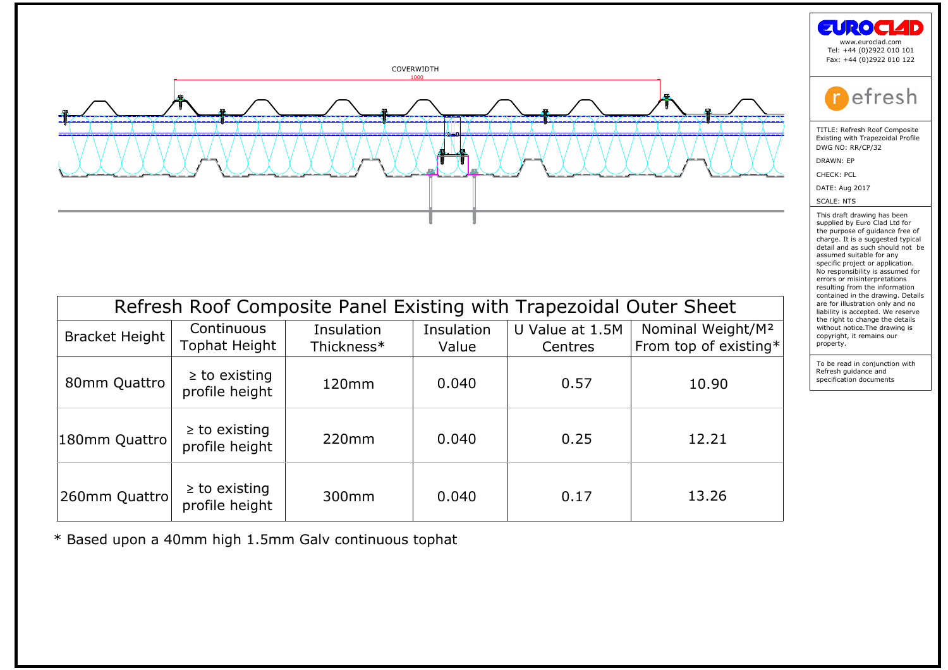

| $\mathbf{U} \setminus \mathbf{U}$                                  |                                      |                          |                     |                            |                                                        |
|--------------------------------------------------------------------|--------------------------------------|--------------------------|---------------------|----------------------------|--------------------------------------------------------|
|                                                                    |                                      |                          |                     |                            |                                                        |
|                                                                    |                                      |                          |                     |                            |                                                        |
| Refresh Roof Composite Panel Existing with Trapezoidal Outer Sheet |                                      |                          |                     |                            |                                                        |
| <b>Bracket Height</b>                                              | Continuous<br>Tophat Height          | Insulation<br>Thickness* | Insulation<br>Value | U Value at 1.5M<br>Centres | Nominal Weight/M <sup>2</sup><br>From top of existing* |
| 80mm Quattro                                                       | $\geq$ to existing<br>profile height | 120mm                    | 0.040               | 0.57                       | 10.90                                                  |
| 180mm Quattro                                                      | $\geq$ to existing<br>profile height | 220mm                    | 0.040               | 0.25                       | 12.21                                                  |
| 260mm Quattro                                                      | $\geq$ to existing<br>profile height | 300mm                    | 0.040               | 0.17                       | 13.26                                                  |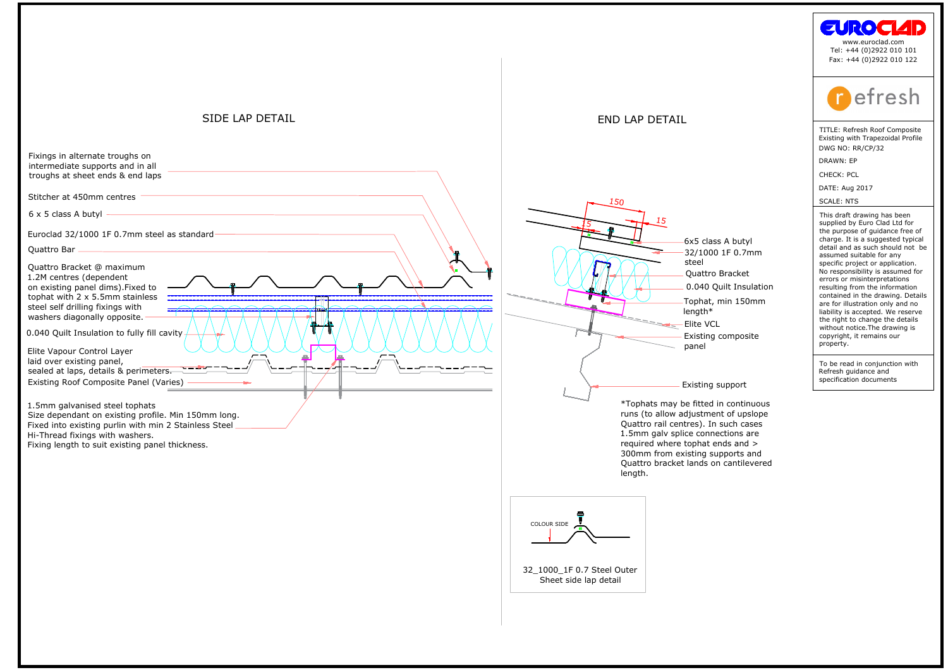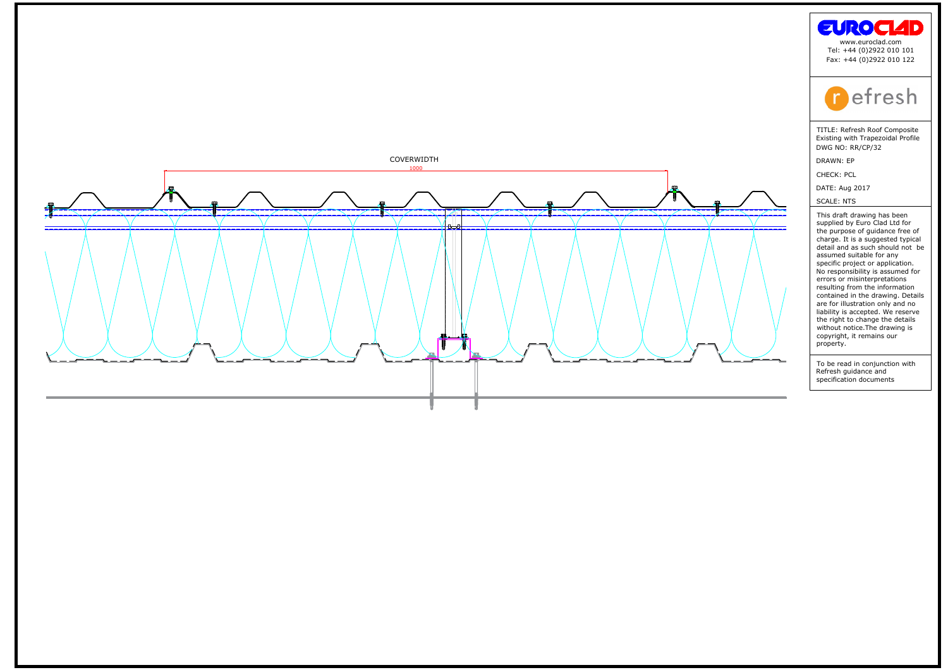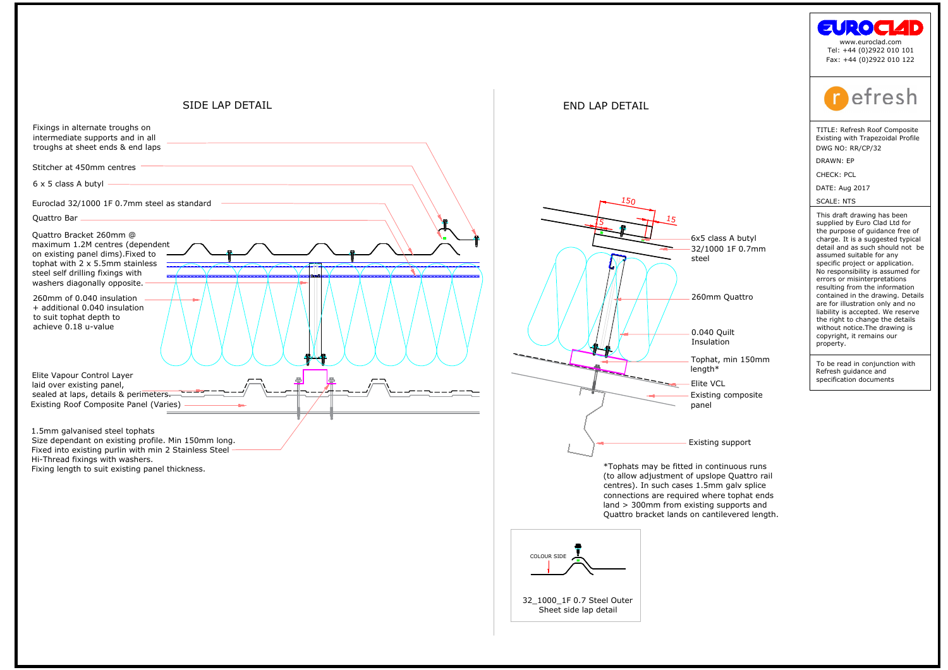

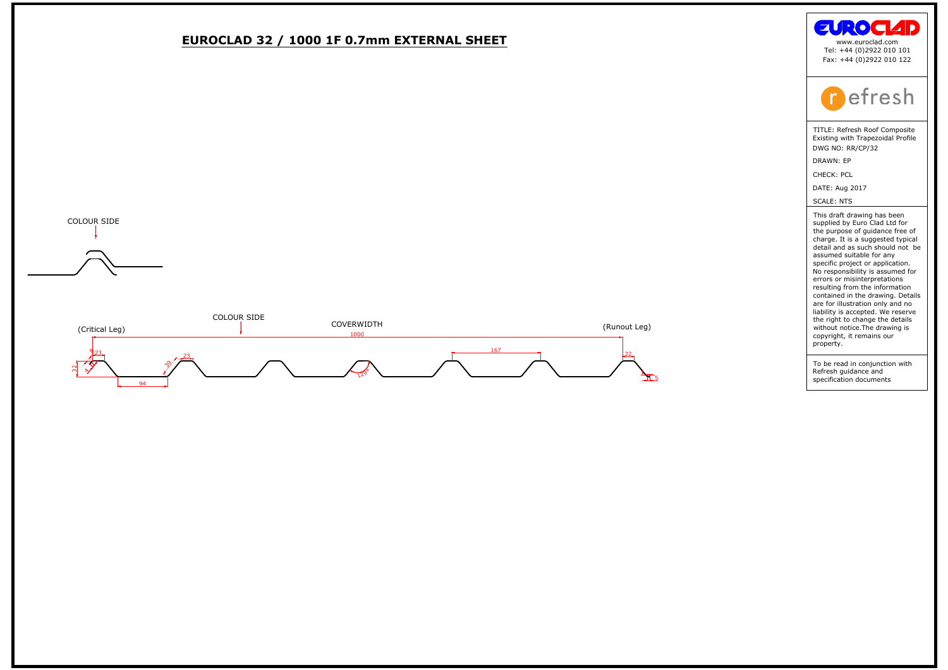